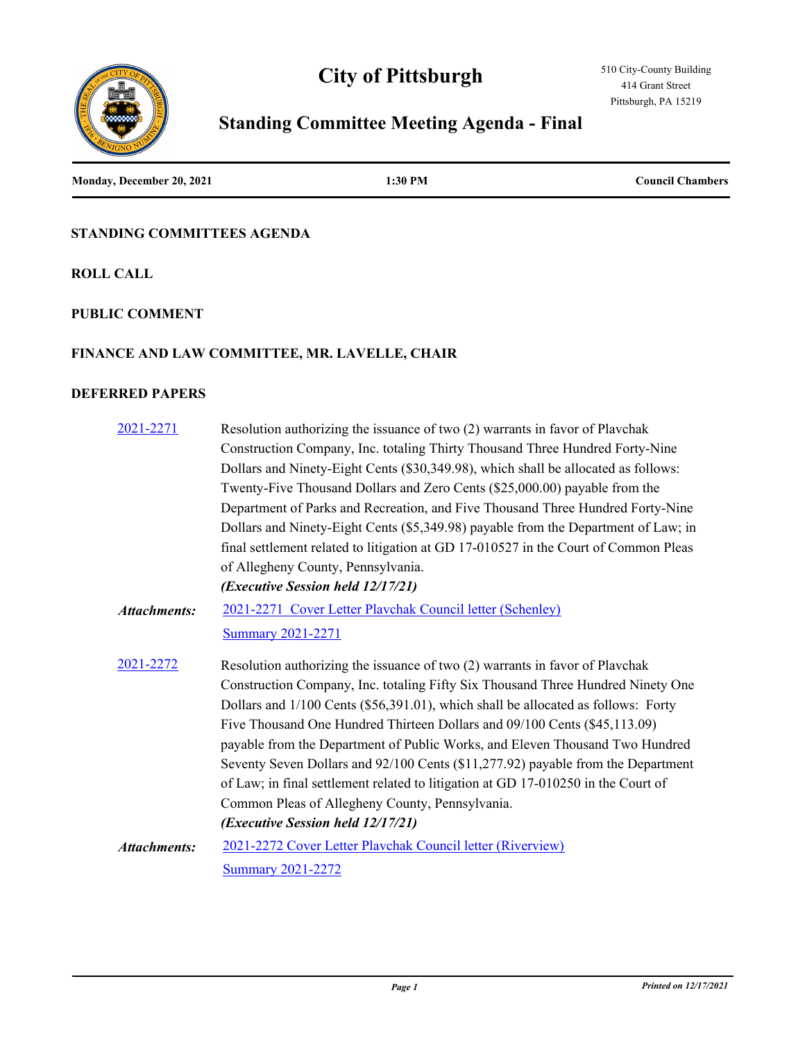# **City of Pittsburgh**





# **Standing Committee Meeting Agenda - Final**

| Monday, December 20, 2021 | 1:30 PM | <b>Council Chambers</b> |
|---------------------------|---------|-------------------------|
|                           |         |                         |

#### **STANDING COMMITTEES AGENDA**

**ROLL CALL**

#### **PUBLIC COMMENT**

#### **FINANCE AND LAW COMMITTEE, MR. LAVELLE, CHAIR**

#### **DEFERRED PAPERS**

| 2021-2271           | Resolution authorizing the issuance of two (2) warrants in favor of Plavchak        |
|---------------------|-------------------------------------------------------------------------------------|
|                     | Construction Company, Inc. totaling Thirty Thousand Three Hundred Forty-Nine        |
|                     | Dollars and Ninety-Eight Cents (\$30,349.98), which shall be allocated as follows:  |
|                     | Twenty-Five Thousand Dollars and Zero Cents (\$25,000.00) payable from the          |
|                     | Department of Parks and Recreation, and Five Thousand Three Hundred Forty-Nine      |
|                     | Dollars and Ninety-Eight Cents (\$5,349.98) payable from the Department of Law; in  |
|                     | final settlement related to litigation at GD 17-010527 in the Court of Common Pleas |
|                     | of Allegheny County, Pennsylvania.                                                  |
|                     | (Executive Session held 12/17/21)                                                   |
| <b>Attachments:</b> | 2021-2271 Cover Letter Playchak Council letter (Schenley)                           |
|                     | <b>Summary 2021-2271</b>                                                            |
| 2021-2272           | Resolution authorizing the issuance of two (2) warrants in favor of Plavchak        |
|                     | Construction Company, Inc. totaling Fifty Six Thousand Three Hundred Ninety One     |
|                     | Dollars and 1/100 Cents (\$56,391.01), which shall be allocated as follows: Forty   |
|                     | Five Thousand One Hundred Thirteen Dollars and 09/100 Cents (\$45,113.09)           |
|                     | payable from the Department of Public Works, and Eleven Thousand Two Hundred        |
|                     | Seventy Seven Dollars and 92/100 Cents (\$11,277.92) payable from the Department    |
|                     | of Law; in final settlement related to litigation at GD 17-010250 in the Court of   |
|                     | Common Pleas of Allegheny County, Pennsylvania.                                     |
|                     | (Executive Session held 12/17/21)                                                   |
| <b>Attachments:</b> | 2021-2272 Cover Letter Plavchak Council letter (Riverview)                          |
|                     | <b>Summary 2021-2272</b>                                                            |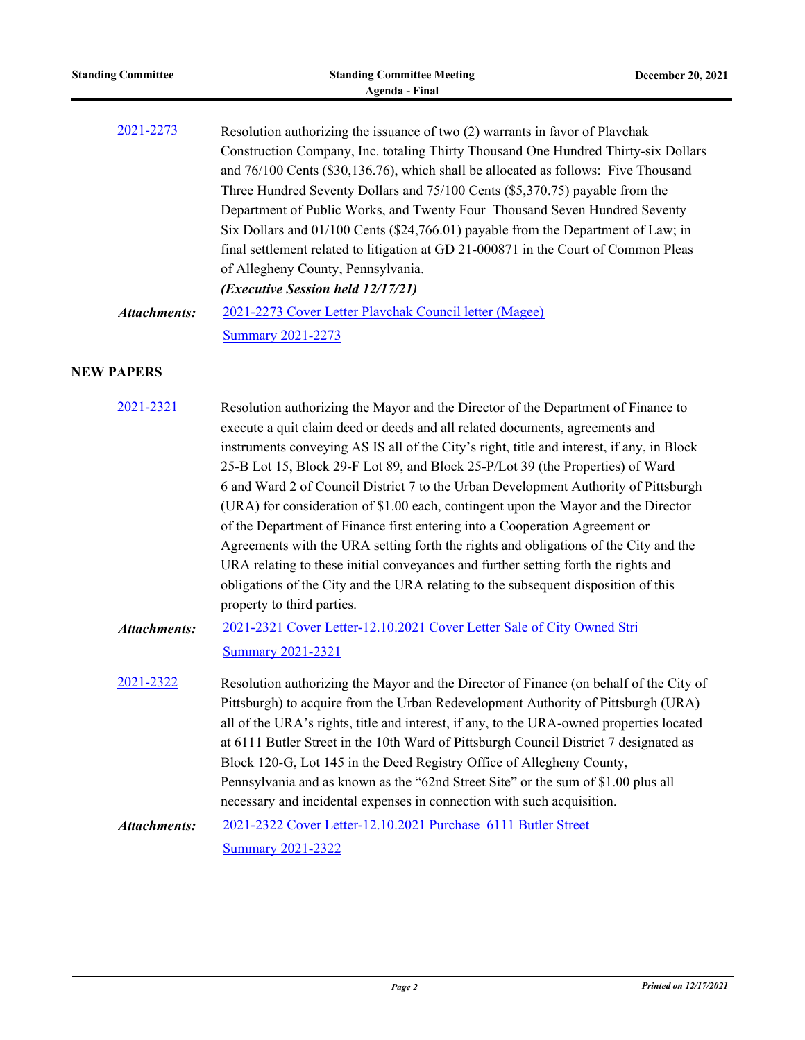| <b>Standing Committee</b> | <b>Standing Committee Meeting</b><br><b>Agenda - Final</b>                                                                                                                                                                                                                                                                                                                                                                                                                                                                                                                                                                                                                                                                                                                                                                                                                                                     | December 20, 2021 |
|---------------------------|----------------------------------------------------------------------------------------------------------------------------------------------------------------------------------------------------------------------------------------------------------------------------------------------------------------------------------------------------------------------------------------------------------------------------------------------------------------------------------------------------------------------------------------------------------------------------------------------------------------------------------------------------------------------------------------------------------------------------------------------------------------------------------------------------------------------------------------------------------------------------------------------------------------|-------------------|
| 2021-2273                 | Resolution authorizing the issuance of two (2) warrants in favor of Plavchak<br>Construction Company, Inc. totaling Thirty Thousand One Hundred Thirty-six Dollars<br>and 76/100 Cents (\$30,136.76), which shall be allocated as follows: Five Thousand<br>Three Hundred Seventy Dollars and 75/100 Cents (\$5,370.75) payable from the<br>Department of Public Works, and Twenty Four Thousand Seven Hundred Seventy<br>Six Dollars and 01/100 Cents (\$24,766.01) payable from the Department of Law; in<br>final settlement related to litigation at GD 21-000871 in the Court of Common Pleas<br>of Allegheny County, Pennsylvania.<br>(Executive Session held 12/17/21)                                                                                                                                                                                                                                  |                   |
| <b>Attachments:</b>       | 2021-2273 Cover Letter Plavchak Council letter (Magee)<br><b>Summary 2021-2273</b>                                                                                                                                                                                                                                                                                                                                                                                                                                                                                                                                                                                                                                                                                                                                                                                                                             |                   |
| <b>NEW PAPERS</b>         |                                                                                                                                                                                                                                                                                                                                                                                                                                                                                                                                                                                                                                                                                                                                                                                                                                                                                                                |                   |
| 2021-2321                 | Resolution authorizing the Mayor and the Director of the Department of Finance to<br>execute a quit claim deed or deeds and all related documents, agreements and<br>instruments conveying AS IS all of the City's right, title and interest, if any, in Block<br>25-B Lot 15, Block 29-F Lot 89, and Block 25-P/Lot 39 (the Properties) of Ward<br>6 and Ward 2 of Council District 7 to the Urban Development Authority of Pittsburgh<br>(URA) for consideration of \$1.00 each, contingent upon the Mayor and the Director<br>of the Department of Finance first entering into a Cooperation Agreement or<br>Agreements with the URA setting forth the rights and obligations of the City and the<br>URA relating to these initial conveyances and further setting forth the rights and<br>obligations of the City and the URA relating to the subsequent disposition of this<br>property to third parties. |                   |
| <b>Attachments:</b>       | 2021-2321 Cover Letter-12.10.2021 Cover Letter Sale of City Owned Stri<br><b>Summary 2021-2321</b>                                                                                                                                                                                                                                                                                                                                                                                                                                                                                                                                                                                                                                                                                                                                                                                                             |                   |
| 2021-2322                 | Resolution authorizing the Mayor and the Director of Finance (on behalf of the City of<br>Pittsburgh) to acquire from the Urban Redevelopment Authority of Pittsburgh (URA)<br>all of the URA's rights, title and interest, if any, to the URA-owned properties located<br>at 6111 Butler Street in the 10th Ward of Pittsburgh Council District 7 designated as<br>Block 120-G, Lot 145 in the Deed Registry Office of Allegheny County,<br>Pennsylvania and as known as the "62nd Street Site" or the sum of \$1.00 plus all<br>necessary and incidental expenses in connection with such acquisition.                                                                                                                                                                                                                                                                                                       |                   |
| <b>Attachments:</b>       | 2021-2322 Cover Letter-12.10.2021 Purchase 6111 Butler Street<br><b>Summary 2021-2322</b>                                                                                                                                                                                                                                                                                                                                                                                                                                                                                                                                                                                                                                                                                                                                                                                                                      |                   |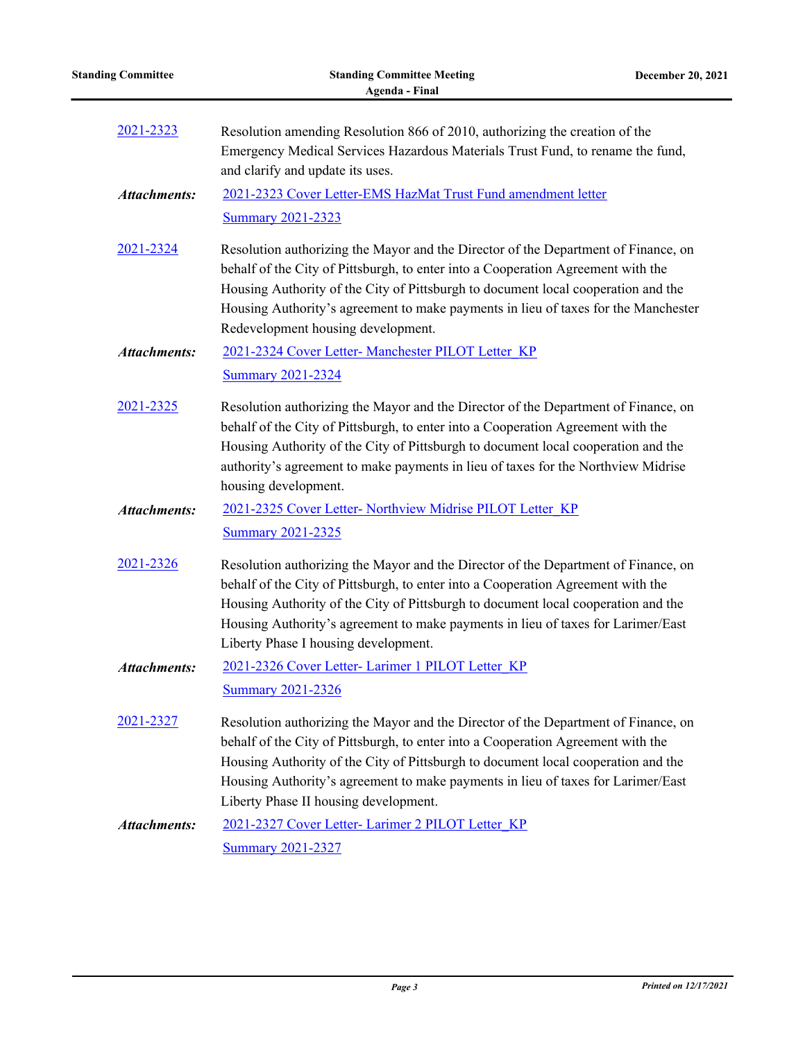|  | <b>Standing Committee</b> |
|--|---------------------------|
|--|---------------------------|

| 2021-2323           | Resolution amending Resolution 866 of 2010, authorizing the creation of the<br>Emergency Medical Services Hazardous Materials Trust Fund, to rename the fund,<br>and clarify and update its uses.                                                                                                                                                                                        |
|---------------------|------------------------------------------------------------------------------------------------------------------------------------------------------------------------------------------------------------------------------------------------------------------------------------------------------------------------------------------------------------------------------------------|
| <b>Attachments:</b> | 2021-2323 Cover Letter-EMS HazMat Trust Fund amendment letter                                                                                                                                                                                                                                                                                                                            |
|                     | <b>Summary 2021-2323</b>                                                                                                                                                                                                                                                                                                                                                                 |
| 2021-2324           | Resolution authorizing the Mayor and the Director of the Department of Finance, on<br>behalf of the City of Pittsburgh, to enter into a Cooperation Agreement with the<br>Housing Authority of the City of Pittsburgh to document local cooperation and the<br>Housing Authority's agreement to make payments in lieu of taxes for the Manchester<br>Redevelopment housing development.  |
| <b>Attachments:</b> | 2021-2324 Cover Letter- Manchester PILOT Letter KP                                                                                                                                                                                                                                                                                                                                       |
|                     | <b>Summary 2021-2324</b>                                                                                                                                                                                                                                                                                                                                                                 |
| 2021-2325           | Resolution authorizing the Mayor and the Director of the Department of Finance, on<br>behalf of the City of Pittsburgh, to enter into a Cooperation Agreement with the<br>Housing Authority of the City of Pittsburgh to document local cooperation and the<br>authority's agreement to make payments in lieu of taxes for the Northview Midrise<br>housing development.                 |
| <b>Attachments:</b> | 2021-2325 Cover Letter- Northview Midrise PILOT Letter KP                                                                                                                                                                                                                                                                                                                                |
|                     | <b>Summary 2021-2325</b>                                                                                                                                                                                                                                                                                                                                                                 |
| 2021-2326           | Resolution authorizing the Mayor and the Director of the Department of Finance, on<br>behalf of the City of Pittsburgh, to enter into a Cooperation Agreement with the<br>Housing Authority of the City of Pittsburgh to document local cooperation and the<br>Housing Authority's agreement to make payments in lieu of taxes for Larimer/East<br>Liberty Phase I housing development.  |
| <b>Attachments:</b> | 2021-2326 Cover Letter- Larimer 1 PILOT Letter KP                                                                                                                                                                                                                                                                                                                                        |
|                     | <b>Summary 2021-2326</b>                                                                                                                                                                                                                                                                                                                                                                 |
| 2021-2327           | Resolution authorizing the Mayor and the Director of the Department of Finance, on<br>behalf of the City of Pittsburgh, to enter into a Cooperation Agreement with the<br>Housing Authority of the City of Pittsburgh to document local cooperation and the<br>Housing Authority's agreement to make payments in lieu of taxes for Larimer/East<br>Liberty Phase II housing development. |
| <b>Attachments:</b> | 2021-2327 Cover Letter- Larimer 2 PILOT Letter KP                                                                                                                                                                                                                                                                                                                                        |
|                     | <b>Summary 2021-2327</b>                                                                                                                                                                                                                                                                                                                                                                 |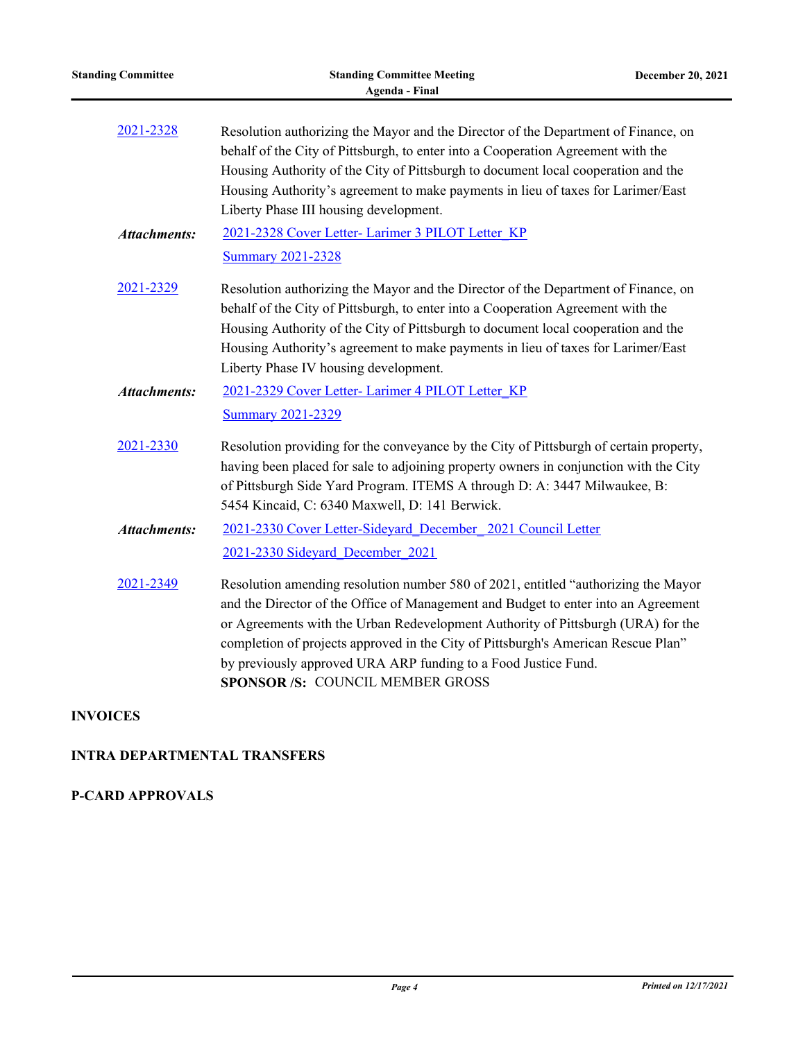| <b>Standing Committee</b> | <b>Standing Committee Meeting</b><br><b>Agenda - Final</b>                                                                                                                                                                                                                                                                                                                                                                                                    | December 20, 2021 |
|---------------------------|---------------------------------------------------------------------------------------------------------------------------------------------------------------------------------------------------------------------------------------------------------------------------------------------------------------------------------------------------------------------------------------------------------------------------------------------------------------|-------------------|
| 2021-2328                 | Resolution authorizing the Mayor and the Director of the Department of Finance, on<br>behalf of the City of Pittsburgh, to enter into a Cooperation Agreement with the<br>Housing Authority of the City of Pittsburgh to document local cooperation and the<br>Housing Authority's agreement to make payments in lieu of taxes for Larimer/East<br>Liberty Phase III housing development.                                                                     |                   |
| <b>Attachments:</b>       | 2021-2328 Cover Letter- Larimer 3 PILOT Letter KP<br><b>Summary 2021-2328</b>                                                                                                                                                                                                                                                                                                                                                                                 |                   |
| 2021-2329                 | Resolution authorizing the Mayor and the Director of the Department of Finance, on<br>behalf of the City of Pittsburgh, to enter into a Cooperation Agreement with the<br>Housing Authority of the City of Pittsburgh to document local cooperation and the<br>Housing Authority's agreement to make payments in lieu of taxes for Larimer/East<br>Liberty Phase IV housing development.                                                                      |                   |
| <b>Attachments:</b>       | 2021-2329 Cover Letter- Larimer 4 PILOT Letter KP<br><b>Summary 2021-2329</b>                                                                                                                                                                                                                                                                                                                                                                                 |                   |
| 2021-2330                 | Resolution providing for the conveyance by the City of Pittsburgh of certain property,<br>having been placed for sale to adjoining property owners in conjunction with the City<br>of Pittsburgh Side Yard Program. ITEMS A through D: A: 3447 Milwaukee, B:<br>5454 Kincaid, C: 6340 Maxwell, D: 141 Berwick.                                                                                                                                                |                   |
| <b>Attachments:</b>       | 2021-2330 Cover Letter-Sideyard December 2021 Council Letter<br>2021-2330 Sideyard December 2021                                                                                                                                                                                                                                                                                                                                                              |                   |
| 2021-2349                 | Resolution amending resolution number 580 of 2021, entitled "authorizing the Mayor<br>and the Director of the Office of Management and Budget to enter into an Agreement<br>or Agreements with the Urban Redevelopment Authority of Pittsburgh (URA) for the<br>completion of projects approved in the City of Pittsburgh's American Rescue Plan"<br>by previously approved URA ARP funding to a Food Justice Fund.<br><b>SPONSOR/S: COUNCIL MEMBER GROSS</b> |                   |

#### **INVOICES**

 $\overline{a}$ 

## **INTRA DEPARTMENTAL TRANSFERS**

### **P-CARD APPROVALS**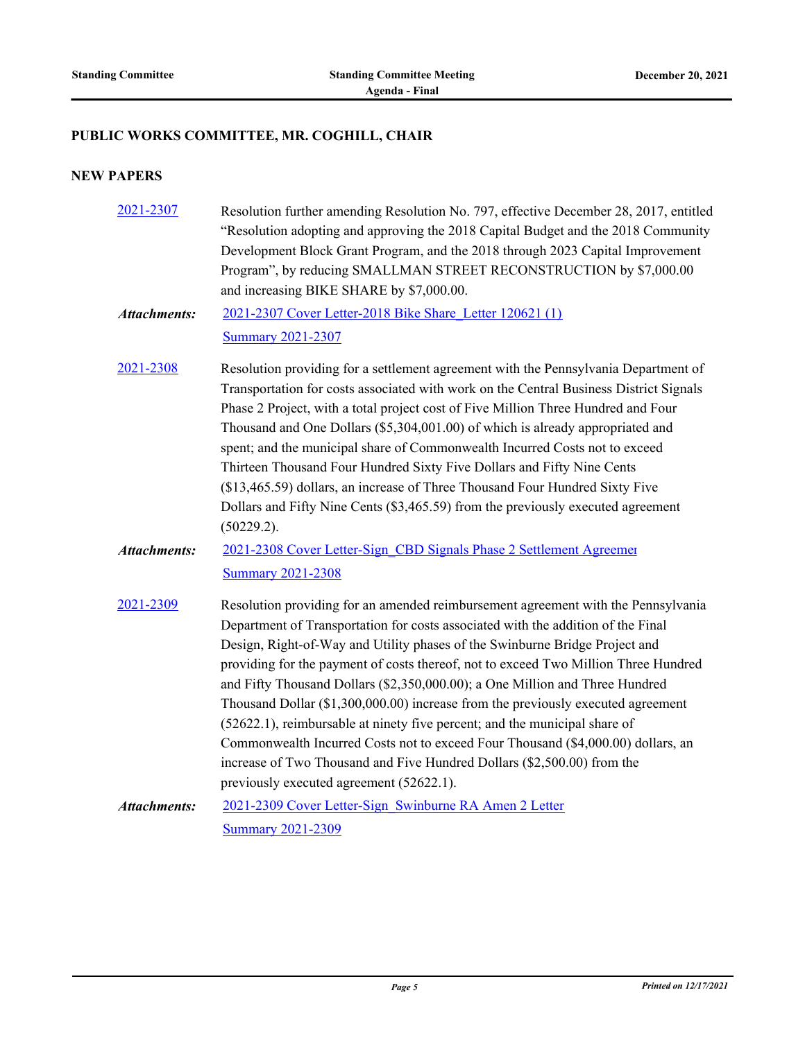#### **PUBLIC WORKS COMMITTEE, MR. COGHILL, CHAIR**

| 2021-2307           | Resolution further amending Resolution No. 797, effective December 28, 2017, entitled<br>"Resolution adopting and approving the 2018 Capital Budget and the 2018 Community<br>Development Block Grant Program, and the 2018 through 2023 Capital Improvement<br>Program", by reducing SMALLMAN STREET RECONSTRUCTION by \$7,000.00<br>and increasing BIKE SHARE by \$7,000.00.                                                                                                                                                                                                                                                                                                                                                                                                                           |
|---------------------|----------------------------------------------------------------------------------------------------------------------------------------------------------------------------------------------------------------------------------------------------------------------------------------------------------------------------------------------------------------------------------------------------------------------------------------------------------------------------------------------------------------------------------------------------------------------------------------------------------------------------------------------------------------------------------------------------------------------------------------------------------------------------------------------------------|
| <b>Attachments:</b> | 2021-2307 Cover Letter-2018 Bike Share Letter 120621 (1)                                                                                                                                                                                                                                                                                                                                                                                                                                                                                                                                                                                                                                                                                                                                                 |
|                     | <b>Summary 2021-2307</b>                                                                                                                                                                                                                                                                                                                                                                                                                                                                                                                                                                                                                                                                                                                                                                                 |
| 2021-2308           | Resolution providing for a settlement agreement with the Pennsylvania Department of<br>Transportation for costs associated with work on the Central Business District Signals<br>Phase 2 Project, with a total project cost of Five Million Three Hundred and Four<br>Thousand and One Dollars (\$5,304,001.00) of which is already appropriated and<br>spent; and the municipal share of Commonwealth Incurred Costs not to exceed<br>Thirteen Thousand Four Hundred Sixty Five Dollars and Fifty Nine Cents<br>(\$13,465.59) dollars, an increase of Three Thousand Four Hundred Sixty Five<br>Dollars and Fifty Nine Cents (\$3,465.59) from the previously executed agreement<br>(50229.2).                                                                                                          |
| <b>Attachments:</b> | 2021-2308 Cover Letter-Sign CBD Signals Phase 2 Settlement Agreemer<br><b>Summary 2021-2308</b>                                                                                                                                                                                                                                                                                                                                                                                                                                                                                                                                                                                                                                                                                                          |
| 2021-2309           | Resolution providing for an amended reimbursement agreement with the Pennsylvania<br>Department of Transportation for costs associated with the addition of the Final<br>Design, Right-of-Way and Utility phases of the Swinburne Bridge Project and<br>providing for the payment of costs thereof, not to exceed Two Million Three Hundred<br>and Fifty Thousand Dollars (\$2,350,000.00); a One Million and Three Hundred<br>Thousand Dollar (\$1,300,000.00) increase from the previously executed agreement<br>(52622.1), reimbursable at ninety five percent; and the municipal share of<br>Commonwealth Incurred Costs not to exceed Four Thousand (\$4,000.00) dollars, an<br>increase of Two Thousand and Five Hundred Dollars (\$2,500.00) from the<br>previously executed agreement (52622.1). |
| <b>Attachments:</b> | 2021-2309 Cover Letter-Sign Swinburne RA Amen 2 Letter                                                                                                                                                                                                                                                                                                                                                                                                                                                                                                                                                                                                                                                                                                                                                   |
|                     | <b>Summary 2021-2309</b>                                                                                                                                                                                                                                                                                                                                                                                                                                                                                                                                                                                                                                                                                                                                                                                 |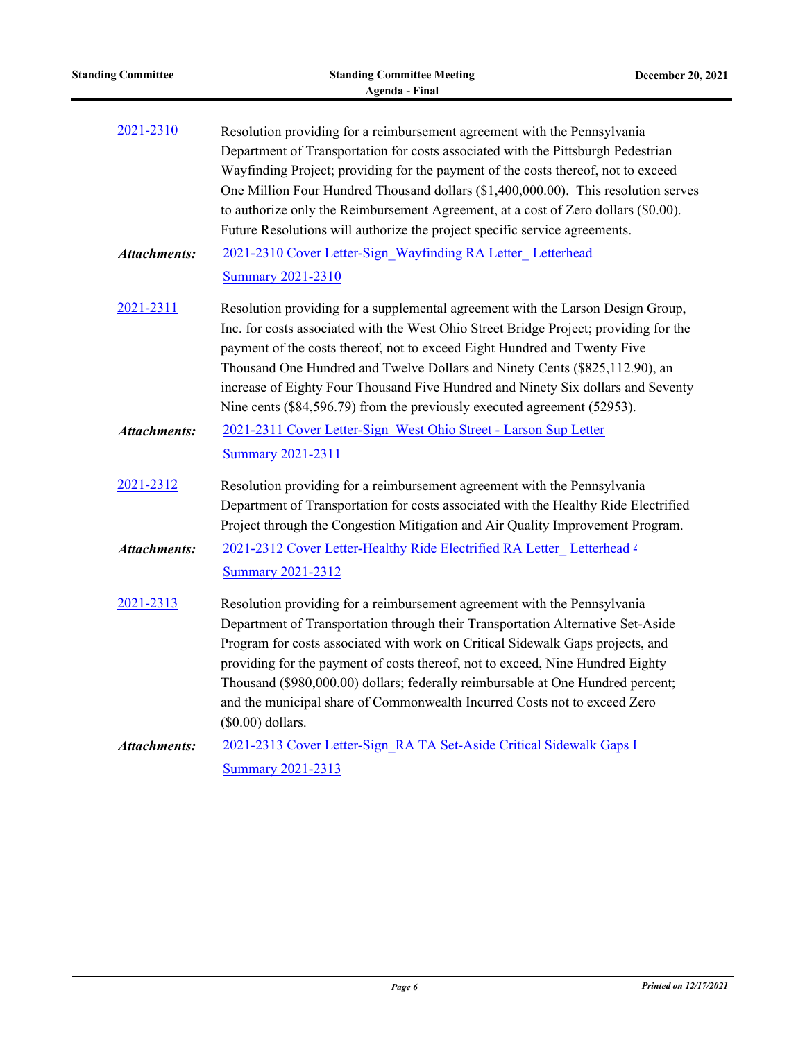| <b>Standing Committee</b> | <b>Standing Committee Meeting</b><br><b>Agenda - Final</b>                                                                                                                                                                                                                                                                                                                                                                                                                                                             | December 20, 2021 |
|---------------------------|------------------------------------------------------------------------------------------------------------------------------------------------------------------------------------------------------------------------------------------------------------------------------------------------------------------------------------------------------------------------------------------------------------------------------------------------------------------------------------------------------------------------|-------------------|
| 2021-2310                 | Resolution providing for a reimbursement agreement with the Pennsylvania<br>Department of Transportation for costs associated with the Pittsburgh Pedestrian<br>Wayfinding Project; providing for the payment of the costs thereof, not to exceed<br>One Million Four Hundred Thousand dollars (\$1,400,000.00). This resolution serves<br>to authorize only the Reimbursement Agreement, at a cost of Zero dollars (\$0.00).<br>Future Resolutions will authorize the project specific service agreements.            |                   |
| <b>Attachments:</b>       | 2021-2310 Cover Letter-Sign Wayfinding RA Letter Letterhead<br><b>Summary 2021-2310</b>                                                                                                                                                                                                                                                                                                                                                                                                                                |                   |
| 2021-2311                 | Resolution providing for a supplemental agreement with the Larson Design Group,<br>Inc. for costs associated with the West Ohio Street Bridge Project; providing for the<br>payment of the costs thereof, not to exceed Eight Hundred and Twenty Five<br>Thousand One Hundred and Twelve Dollars and Ninety Cents (\$825,112.90), an<br>increase of Eighty Four Thousand Five Hundred and Ninety Six dollars and Seventy<br>Nine cents (\$84,596.79) from the previously executed agreement (52953).                   |                   |
| <b>Attachments:</b>       | 2021-2311 Cover Letter-Sign West Ohio Street - Larson Sup Letter<br><b>Summary 2021-2311</b>                                                                                                                                                                                                                                                                                                                                                                                                                           |                   |
| 2021-2312                 | Resolution providing for a reimbursement agreement with the Pennsylvania<br>Department of Transportation for costs associated with the Healthy Ride Electrified<br>Project through the Congestion Mitigation and Air Quality Improvement Program.                                                                                                                                                                                                                                                                      |                   |
| <b>Attachments:</b>       | 2021-2312 Cover Letter-Healthy Ride Electrified RA Letter_Letterhead 4<br><b>Summary 2021-2312</b>                                                                                                                                                                                                                                                                                                                                                                                                                     |                   |
| 2021-2313                 | Resolution providing for a reimbursement agreement with the Pennsylvania<br>Department of Transportation through their Transportation Alternative Set-Aside<br>Program for costs associated with work on Critical Sidewalk Gaps projects, and<br>providing for the payment of costs thereof, not to exceed, Nine Hundred Eighty<br>Thousand (\$980,000.00) dollars; federally reimbursable at One Hundred percent;<br>and the municipal share of Commonwealth Incurred Costs not to exceed Zero<br>$(\$0.00)$ dollars. |                   |
| <b>Attachments:</b>       | 2021-2313 Cover Letter-Sign RA TA Set-Aside Critical Sidewalk Gaps I<br><b>Summary 2021-2313</b>                                                                                                                                                                                                                                                                                                                                                                                                                       |                   |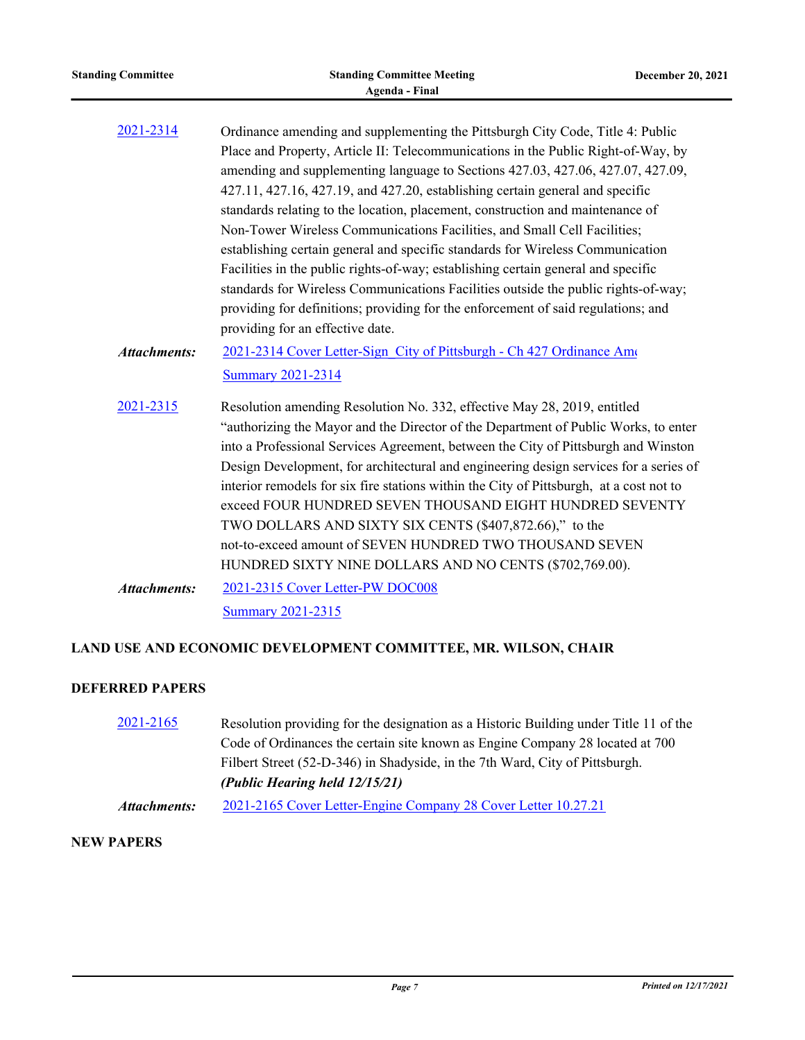| <b>Standing Committee</b> | <b>Standing Committee Meeting</b><br><b>Agenda - Final</b>                              | December 20, 2021 |
|---------------------------|-----------------------------------------------------------------------------------------|-------------------|
| 2021-2314                 | Ordinance amending and supplementing the Pittsburgh City Code, Title 4: Public          |                   |
|                           | Place and Property, Article II: Telecommunications in the Public Right-of-Way, by       |                   |
|                           | amending and supplementing language to Sections 427.03, 427.06, 427.07, 427.09,         |                   |
|                           | 427.11, 427.16, 427.19, and 427.20, establishing certain general and specific           |                   |
|                           | standards relating to the location, placement, construction and maintenance of          |                   |
|                           | Non-Tower Wireless Communications Facilities, and Small Cell Facilities;                |                   |
|                           | establishing certain general and specific standards for Wireless Communication          |                   |
|                           | Facilities in the public rights-of-way; establishing certain general and specific       |                   |
|                           | standards for Wireless Communications Facilities outside the public rights-of-way;      |                   |
|                           | providing for definitions; providing for the enforcement of said regulations; and       |                   |
|                           | providing for an effective date.                                                        |                   |
| <b>Attachments:</b>       | 2021-2314 Cover Letter-Sign City of Pittsburgh - Ch 427 Ordinance Ame                   |                   |
|                           | <b>Summary 2021-2314</b>                                                                |                   |
| 2021-2315                 | Resolution amending Resolution No. 332, effective May 28, 2019, entitled                |                   |
|                           | "authorizing the Mayor and the Director of the Department of Public Works, to enter     |                   |
|                           | into a Professional Services Agreement, between the City of Pittsburgh and Winston      |                   |
|                           | Design Development, for architectural and engineering design services for a series of   |                   |
|                           | interior remodels for six fire stations within the City of Pittsburgh, at a cost not to |                   |
|                           | exceed FOUR HUNDRED SEVEN THOUSAND EIGHT HUNDRED SEVENTY                                |                   |
|                           | TWO DOLLARS AND SIXTY SIX CENTS (\$407,872.66)," to the                                 |                   |
|                           | not-to-exceed amount of SEVEN HUNDRED TWO THOUSAND SEVEN                                |                   |
|                           | HUNDRED SIXTY NINE DOLLARS AND NO CENTS (\$702,769.00).                                 |                   |
| <b>Attachments:</b>       | 2021-2315 Cover Letter-PW DOC008                                                        |                   |
|                           | <b>Summary 2021-2315</b>                                                                |                   |

#### **DEFERRED PAPERS**

[2021-2165](http://pittsburgh.legistar.com/gateway.aspx?m=l&id=/matter.aspx?key=27058) Resolution providing for the designation as a Historic Building under Title 11 of the Code of Ordinances the certain site known as Engine Company 28 located at 700 Filbert Street (52-D-346) in Shadyside, in the 7th Ward, City of Pittsburgh. *(Public Hearing held 12/15/21) Attachments:* [2021-2165 Cover Letter-Engine Company 28 Cover Letter 10.27.21](http://pittsburgh.legistar.com/gateway.aspx?M=F&ID=db87397e-c2bf-4da1-9e2f-c97b507fc0ea.docx)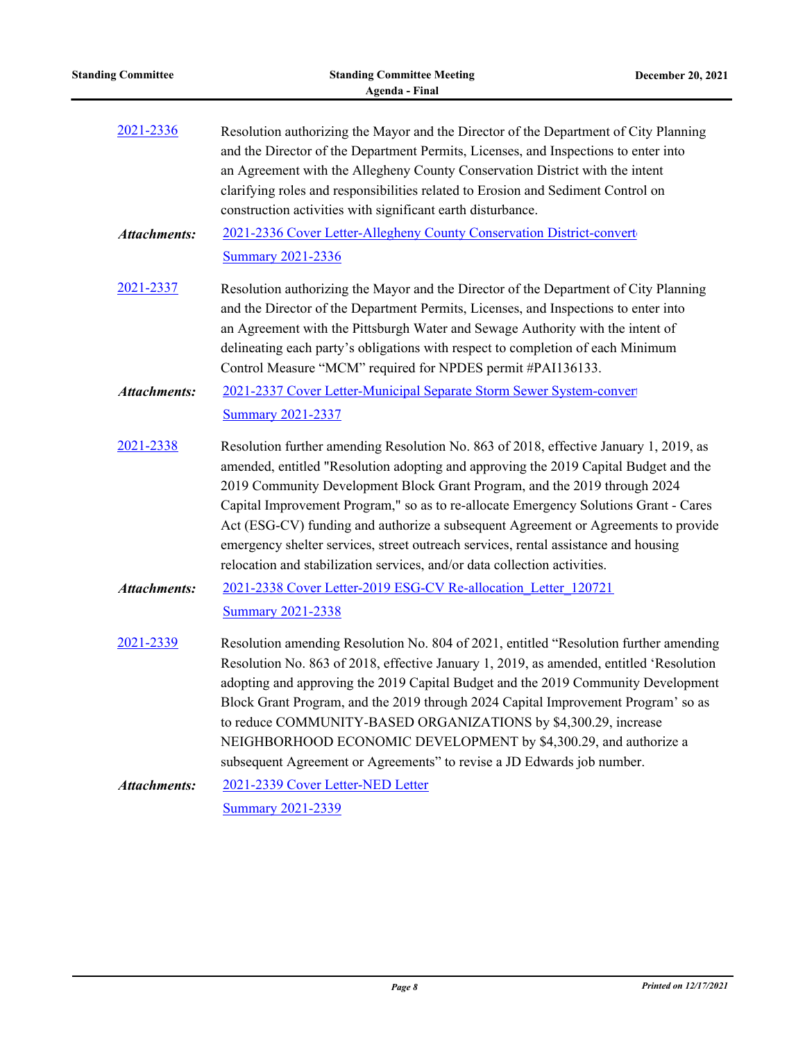| <b>Standing Committee</b> | <b>Standing Committee Meeting</b><br><b>Agenda - Final</b>                                                                                                                                                                                                                                                                                                                                                                                                                                                                                                                                                   | December 20, 2021 |
|---------------------------|--------------------------------------------------------------------------------------------------------------------------------------------------------------------------------------------------------------------------------------------------------------------------------------------------------------------------------------------------------------------------------------------------------------------------------------------------------------------------------------------------------------------------------------------------------------------------------------------------------------|-------------------|
| 2021-2336                 | Resolution authorizing the Mayor and the Director of the Department of City Planning<br>and the Director of the Department Permits, Licenses, and Inspections to enter into<br>an Agreement with the Allegheny County Conservation District with the intent<br>clarifying roles and responsibilities related to Erosion and Sediment Control on<br>construction activities with significant earth disturbance.                                                                                                                                                                                               |                   |
| <b>Attachments:</b>       | 2021-2336 Cover Letter-Allegheny County Conservation District-convert                                                                                                                                                                                                                                                                                                                                                                                                                                                                                                                                        |                   |
|                           | <b>Summary 2021-2336</b>                                                                                                                                                                                                                                                                                                                                                                                                                                                                                                                                                                                     |                   |
| 2021-2337                 | Resolution authorizing the Mayor and the Director of the Department of City Planning<br>and the Director of the Department Permits, Licenses, and Inspections to enter into<br>an Agreement with the Pittsburgh Water and Sewage Authority with the intent of<br>delineating each party's obligations with respect to completion of each Minimum<br>Control Measure "MCM" required for NPDES permit #PAI136133.                                                                                                                                                                                              |                   |
| <b>Attachments:</b>       | 2021-2337 Cover Letter-Municipal Separate Storm Sewer System-conver                                                                                                                                                                                                                                                                                                                                                                                                                                                                                                                                          |                   |
|                           | <b>Summary 2021-2337</b>                                                                                                                                                                                                                                                                                                                                                                                                                                                                                                                                                                                     |                   |
| 2021-2338                 | Resolution further amending Resolution No. 863 of 2018, effective January 1, 2019, as<br>amended, entitled "Resolution adopting and approving the 2019 Capital Budget and the<br>2019 Community Development Block Grant Program, and the 2019 through 2024<br>Capital Improvement Program," so as to re-allocate Emergency Solutions Grant - Cares<br>Act (ESG-CV) funding and authorize a subsequent Agreement or Agreements to provide<br>emergency shelter services, street outreach services, rental assistance and housing<br>relocation and stabilization services, and/or data collection activities. |                   |
| <b>Attachments:</b>       | 2021-2338 Cover Letter-2019 ESG-CV Re-allocation Letter 120721<br><b>Summary 2021-2338</b>                                                                                                                                                                                                                                                                                                                                                                                                                                                                                                                   |                   |
| 2021-2339                 | Resolution amending Resolution No. 804 of 2021, entitled "Resolution further amending<br>Resolution No. 863 of 2018, effective January 1, 2019, as amended, entitled 'Resolution<br>adopting and approving the 2019 Capital Budget and the 2019 Community Development<br>Block Grant Program, and the 2019 through 2024 Capital Improvement Program' so as<br>to reduce COMMUNITY-BASED ORGANIZATIONS by \$4,300.29, increase<br>NEIGHBORHOOD ECONOMIC DEVELOPMENT by \$4,300.29, and authorize a<br>subsequent Agreement or Agreements" to revise a JD Edwards job number.                                  |                   |
| <b>Attachments:</b>       | 2021-2339 Cover Letter-NED Letter                                                                                                                                                                                                                                                                                                                                                                                                                                                                                                                                                                            |                   |
|                           | <b>Summary 2021-2339</b>                                                                                                                                                                                                                                                                                                                                                                                                                                                                                                                                                                                     |                   |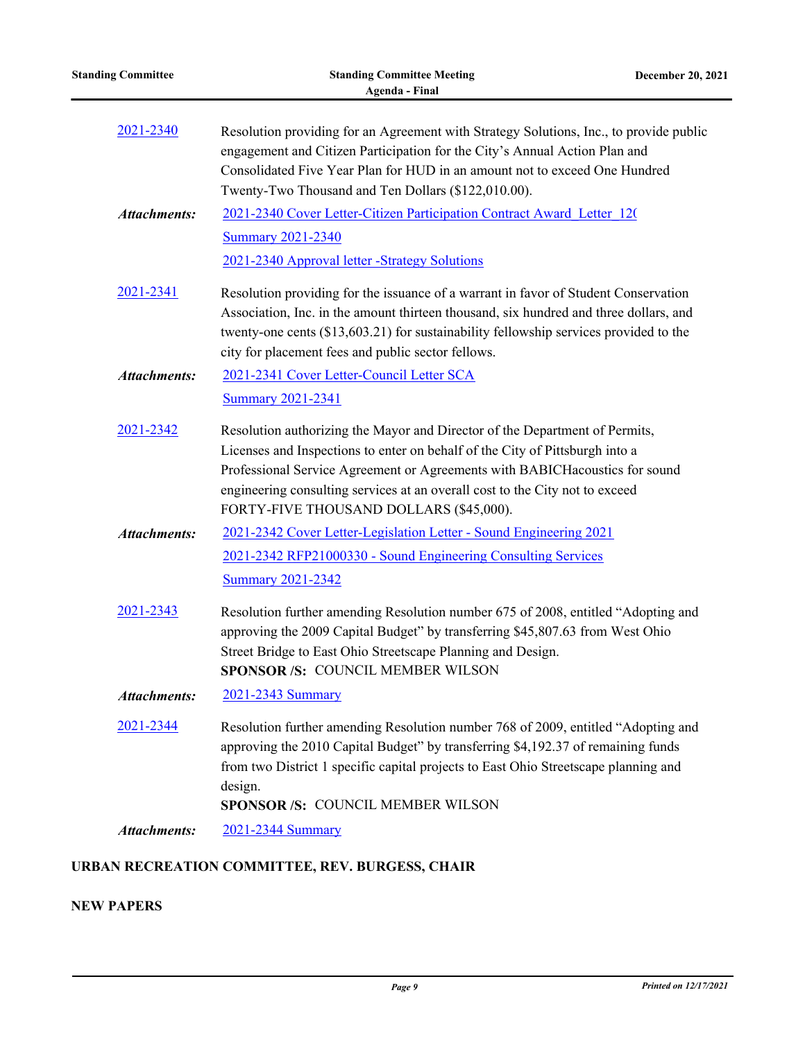| <b>Standing Committee</b> | <b>Standing Committee Meeting</b><br><b>Agenda - Final</b>                                                                                                                                                                                                                                                                                                            | December 20, 2021 |
|---------------------------|-----------------------------------------------------------------------------------------------------------------------------------------------------------------------------------------------------------------------------------------------------------------------------------------------------------------------------------------------------------------------|-------------------|
| 2021-2340                 | Resolution providing for an Agreement with Strategy Solutions, Inc., to provide public<br>engagement and Citizen Participation for the City's Annual Action Plan and<br>Consolidated Five Year Plan for HUD in an amount not to exceed One Hundred<br>Twenty-Two Thousand and Ten Dollars (\$122,010.00).                                                             |                   |
| <b>Attachments:</b>       | 2021-2340 Cover Letter-Citizen Participation Contract Award Letter 120                                                                                                                                                                                                                                                                                                |                   |
|                           | <b>Summary 2021-2340</b>                                                                                                                                                                                                                                                                                                                                              |                   |
|                           | 2021-2340 Approval letter -Strategy Solutions                                                                                                                                                                                                                                                                                                                         |                   |
| 2021-2341                 | Resolution providing for the issuance of a warrant in favor of Student Conservation<br>Association, Inc. in the amount thirteen thousand, six hundred and three dollars, and<br>twenty-one cents (\$13,603.21) for sustainability fellowship services provided to the<br>city for placement fees and public sector fellows.                                           |                   |
| <b>Attachments:</b>       | 2021-2341 Cover Letter-Council Letter SCA                                                                                                                                                                                                                                                                                                                             |                   |
|                           | <b>Summary 2021-2341</b>                                                                                                                                                                                                                                                                                                                                              |                   |
| 2021-2342                 | Resolution authorizing the Mayor and Director of the Department of Permits,<br>Licenses and Inspections to enter on behalf of the City of Pittsburgh into a<br>Professional Service Agreement or Agreements with BABICHacoustics for sound<br>engineering consulting services at an overall cost to the City not to exceed<br>FORTY-FIVE THOUSAND DOLLARS (\$45,000). |                   |
| <b>Attachments:</b>       | 2021-2342 Cover Letter-Legislation Letter - Sound Engineering 2021                                                                                                                                                                                                                                                                                                    |                   |
|                           | 2021-2342 RFP21000330 - Sound Engineering Consulting Services                                                                                                                                                                                                                                                                                                         |                   |
|                           | <b>Summary 2021-2342</b>                                                                                                                                                                                                                                                                                                                                              |                   |
| 2021-2343                 | Resolution further amending Resolution number 675 of 2008, entitled "Adopting and<br>approving the 2009 Capital Budget" by transferring \$45,807.63 from West Ohio<br>Street Bridge to East Ohio Streetscape Planning and Design.<br>SPONSOR /S: COUNCIL MEMBER WILSON                                                                                                |                   |
| <b>Attachments:</b>       | 2021-2343 Summary                                                                                                                                                                                                                                                                                                                                                     |                   |
| 2021-2344                 | Resolution further amending Resolution number 768 of 2009, entitled "Adopting and<br>approving the 2010 Capital Budget" by transferring \$4,192.37 of remaining funds<br>from two District 1 specific capital projects to East Ohio Streetscape planning and<br>design.<br>SPONSOR /S: COUNCIL MEMBER WILSON                                                          |                   |
| <b>Attachments:</b>       | 2021-2344 Summary                                                                                                                                                                                                                                                                                                                                                     |                   |
|                           |                                                                                                                                                                                                                                                                                                                                                                       |                   |

# **URBAN RECREATION COMMITTEE, REV. BURGESS, CHAIR**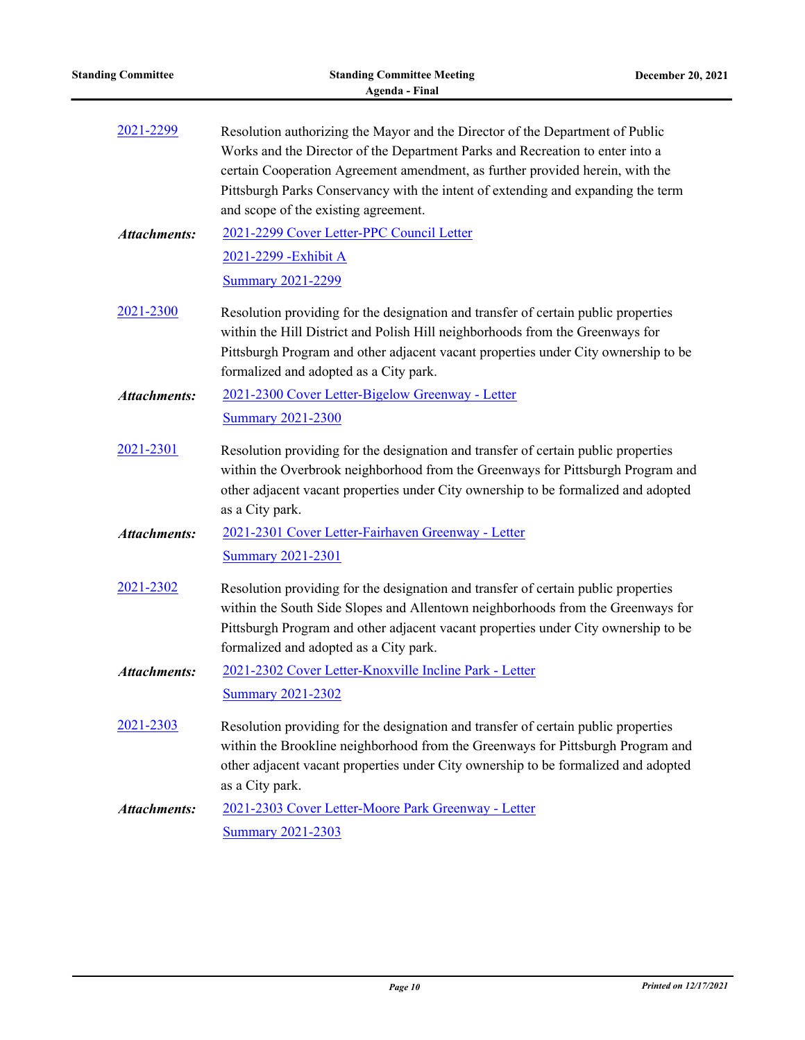| <b>Standing Committee</b> | <b>Standing Committee Meeting</b><br><b>Agenda - Final</b>                                                                                                                                                                                                                                                                                                                  | December 20, 2021 |
|---------------------------|-----------------------------------------------------------------------------------------------------------------------------------------------------------------------------------------------------------------------------------------------------------------------------------------------------------------------------------------------------------------------------|-------------------|
| 2021-2299                 | Resolution authorizing the Mayor and the Director of the Department of Public<br>Works and the Director of the Department Parks and Recreation to enter into a<br>certain Cooperation Agreement amendment, as further provided herein, with the<br>Pittsburgh Parks Conservancy with the intent of extending and expanding the term<br>and scope of the existing agreement. |                   |
| <b>Attachments:</b>       | 2021-2299 Cover Letter-PPC Council Letter                                                                                                                                                                                                                                                                                                                                   |                   |
|                           | 2021-2299 - Exhibit A<br><b>Summary 2021-2299</b>                                                                                                                                                                                                                                                                                                                           |                   |
| 2021-2300                 | Resolution providing for the designation and transfer of certain public properties<br>within the Hill District and Polish Hill neighborhoods from the Greenways for<br>Pittsburgh Program and other adjacent vacant properties under City ownership to be<br>formalized and adopted as a City park.                                                                         |                   |
| <b>Attachments:</b>       | 2021-2300 Cover Letter-Bigelow Greenway - Letter                                                                                                                                                                                                                                                                                                                            |                   |
|                           | <b>Summary 2021-2300</b>                                                                                                                                                                                                                                                                                                                                                    |                   |
| 2021-2301                 | Resolution providing for the designation and transfer of certain public properties<br>within the Overbrook neighborhood from the Greenways for Pittsburgh Program and<br>other adjacent vacant properties under City ownership to be formalized and adopted<br>as a City park.                                                                                              |                   |
| <b>Attachments:</b>       | 2021-2301 Cover Letter-Fairhaven Greenway - Letter                                                                                                                                                                                                                                                                                                                          |                   |
|                           | <b>Summary 2021-2301</b>                                                                                                                                                                                                                                                                                                                                                    |                   |
| 2021-2302                 | Resolution providing for the designation and transfer of certain public properties<br>within the South Side Slopes and Allentown neighborhoods from the Greenways for<br>Pittsburgh Program and other adjacent vacant properties under City ownership to be<br>formalized and adopted as a City park.                                                                       |                   |
| <b>Attachments:</b>       | 2021-2302 Cover Letter-Knoxville Incline Park - Letter                                                                                                                                                                                                                                                                                                                      |                   |
|                           | <b>Summary 2021-2302</b>                                                                                                                                                                                                                                                                                                                                                    |                   |
| 2021-2303                 | Resolution providing for the designation and transfer of certain public properties<br>within the Brookline neighborhood from the Greenways for Pittsburgh Program and<br>other adjacent vacant properties under City ownership to be formalized and adopted<br>as a City park.                                                                                              |                   |
| <b>Attachments:</b>       | 2021-2303 Cover Letter-Moore Park Greenway - Letter                                                                                                                                                                                                                                                                                                                         |                   |
|                           | Summary 2021-2303                                                                                                                                                                                                                                                                                                                                                           |                   |
|                           |                                                                                                                                                                                                                                                                                                                                                                             |                   |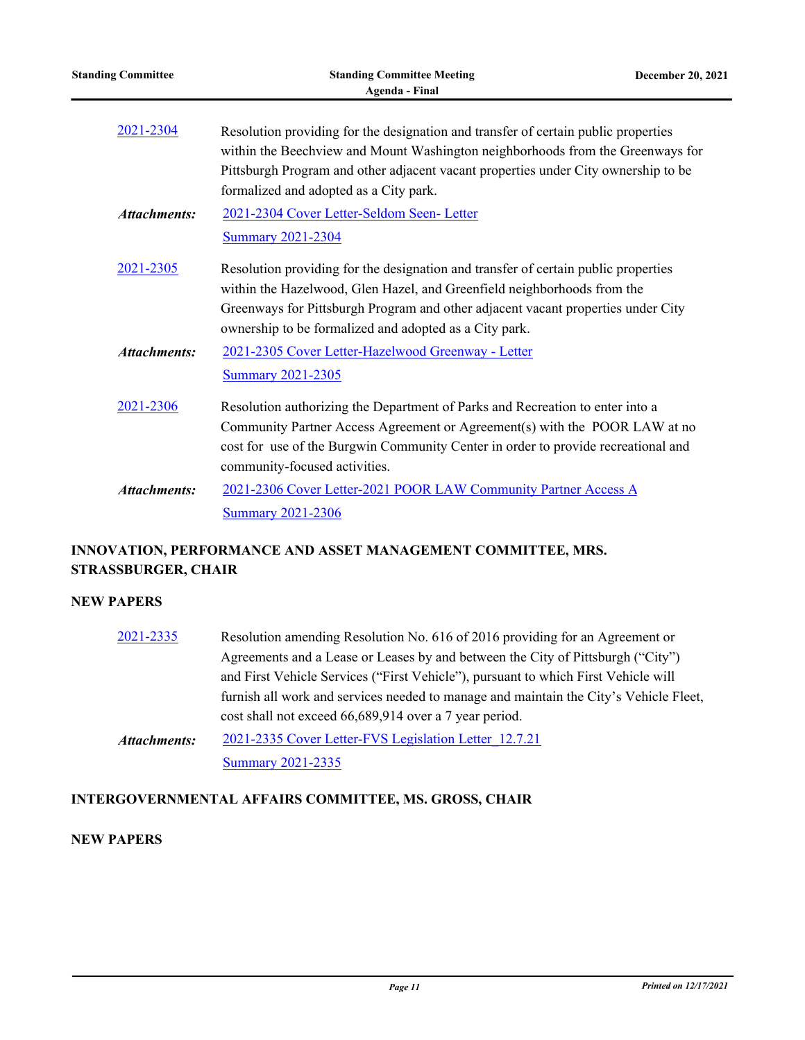| <b>Standing Committee</b> | <b>Standing Committee Meeting</b><br><b>Agenda</b> - Final                                                                                                                                                                                                                                                  | December 20, 2021 |
|---------------------------|-------------------------------------------------------------------------------------------------------------------------------------------------------------------------------------------------------------------------------------------------------------------------------------------------------------|-------------------|
| 2021-2304                 | Resolution providing for the designation and transfer of certain public properties<br>within the Beechview and Mount Washington neighborhoods from the Greenways for<br>Pittsburgh Program and other adjacent vacant properties under City ownership to be<br>formalized and adopted as a City park.        |                   |
| <b>Attachments:</b>       | 2021-2304 Cover Letter-Seldom Seen- Letter<br><b>Summary 2021-2304</b>                                                                                                                                                                                                                                      |                   |
| 2021-2305                 | Resolution providing for the designation and transfer of certain public properties<br>within the Hazelwood, Glen Hazel, and Greenfield neighborhoods from the<br>Greenways for Pittsburgh Program and other adjacent vacant properties under City<br>ownership to be formalized and adopted as a City park. |                   |
| <b>Attachments:</b>       | 2021-2305 Cover Letter-Hazelwood Greenway - Letter<br><b>Summary 2021-2305</b>                                                                                                                                                                                                                              |                   |
| 2021-2306                 | Resolution authorizing the Department of Parks and Recreation to enter into a<br>Community Partner Access Agreement or Agreement(s) with the POOR LAW at no<br>cost for use of the Burgwin Community Center in order to provide recreational and<br>community-focused activities.                           |                   |
| <b>Attachments:</b>       | 2021-2306 Cover Letter-2021 POOR LAW Community Partner Access A<br><b>Summary 2021-2306</b>                                                                                                                                                                                                                 |                   |

## **INNOVATION, PERFORMANCE AND ASSET MANAGEMENT COMMITTEE, MRS. STRASSBURGER, CHAIR**

#### **NEW PAPERS**

| 2021-2335           | Resolution amending Resolution No. 616 of 2016 providing for an Agreement or          |
|---------------------|---------------------------------------------------------------------------------------|
|                     | Agreements and a Lease or Leases by and between the City of Pittsburgh ("City")       |
|                     | and First Vehicle Services ("First Vehicle"), pursuant to which First Vehicle will    |
|                     | furnish all work and services needed to manage and maintain the City's Vehicle Fleet, |
|                     | cost shall not exceed 66,689,914 over a 7 year period.                                |
| <b>Attachments:</b> | 2021-2335 Cover Letter-FVS Legislation Letter 12.7.21                                 |
|                     | <b>Summary 2021-2335</b>                                                              |

# **INTERGOVERNMENTAL AFFAIRS COMMITTEE, MS. GROSS, CHAIR**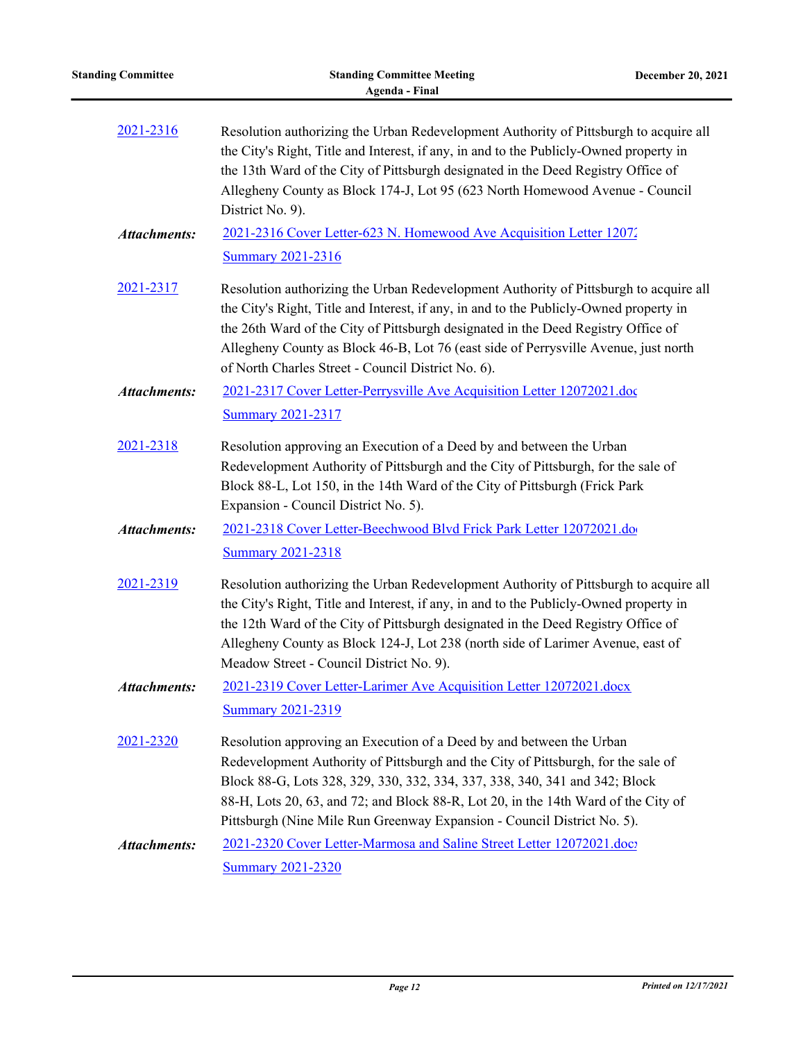| <b>Standing Committee</b> | <b>Standing Committee Meeting</b><br><b>Agenda - Final</b>                                                                                                                                                                                                                                                                                                                                                        | <b>December 20, 2021</b> |
|---------------------------|-------------------------------------------------------------------------------------------------------------------------------------------------------------------------------------------------------------------------------------------------------------------------------------------------------------------------------------------------------------------------------------------------------------------|--------------------------|
| 2021-2316                 | Resolution authorizing the Urban Redevelopment Authority of Pittsburgh to acquire all<br>the City's Right, Title and Interest, if any, in and to the Publicly-Owned property in<br>the 13th Ward of the City of Pittsburgh designated in the Deed Registry Office of<br>Allegheny County as Block 174-J, Lot 95 (623 North Homewood Avenue - Council<br>District No. 9).                                          |                          |
| <b>Attachments:</b>       | 2021-2316 Cover Letter-623 N. Homewood Ave Acquisition Letter 12072<br><b>Summary 2021-2316</b>                                                                                                                                                                                                                                                                                                                   |                          |
| 2021-2317                 | Resolution authorizing the Urban Redevelopment Authority of Pittsburgh to acquire all<br>the City's Right, Title and Interest, if any, in and to the Publicly-Owned property in<br>the 26th Ward of the City of Pittsburgh designated in the Deed Registry Office of<br>Allegheny County as Block 46-B, Lot 76 (east side of Perrysville Avenue, just north<br>of North Charles Street - Council District No. 6). |                          |
| <b>Attachments:</b>       | 2021-2317 Cover Letter-Perrysville Ave Acquisition Letter 12072021.doc<br><b>Summary 2021-2317</b>                                                                                                                                                                                                                                                                                                                |                          |
| 2021-2318                 | Resolution approving an Execution of a Deed by and between the Urban<br>Redevelopment Authority of Pittsburgh and the City of Pittsburgh, for the sale of<br>Block 88-L, Lot 150, in the 14th Ward of the City of Pittsburgh (Frick Park<br>Expansion - Council District No. 5).                                                                                                                                  |                          |
| <b>Attachments:</b>       | 2021-2318 Cover Letter-Beechwood Blvd Frick Park Letter 12072021.do<br><b>Summary 2021-2318</b>                                                                                                                                                                                                                                                                                                                   |                          |
| 2021-2319                 | Resolution authorizing the Urban Redevelopment Authority of Pittsburgh to acquire all<br>the City's Right, Title and Interest, if any, in and to the Publicly-Owned property in<br>the 12th Ward of the City of Pittsburgh designated in the Deed Registry Office of<br>Allegheny County as Block 124-J, Lot 238 (north side of Larimer Avenue, east of<br>Meadow Street - Council District No. 9).               |                          |
| <b>Attachments:</b>       | 2021-2319 Cover Letter-Larimer Ave Acquisition Letter 12072021.docx<br><b>Summary 2021-2319</b>                                                                                                                                                                                                                                                                                                                   |                          |
| 2021-2320                 | Resolution approving an Execution of a Deed by and between the Urban<br>Redevelopment Authority of Pittsburgh and the City of Pittsburgh, for the sale of<br>Block 88-G, Lots 328, 329, 330, 332, 334, 337, 338, 340, 341 and 342; Block<br>88-H, Lots 20, 63, and 72; and Block 88-R, Lot 20, in the 14th Ward of the City of<br>Pittsburgh (Nine Mile Run Greenway Expansion - Council District No. 5).         |                          |
| <b>Attachments:</b>       | 2021-2320 Cover Letter-Marmosa and Saline Street Letter 12072021.doc?<br><b>Summary 2021-2320</b>                                                                                                                                                                                                                                                                                                                 |                          |

 $\overline{\phantom{0}}$